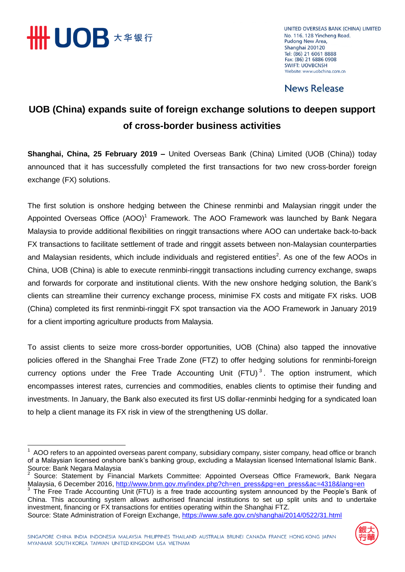

UNITED OVERSEAS BANK (CHINA) LIMITED No. 116, 128 Yincheng Road. Pudong New Area, Shanghai 200120 Tel: (86) 21 6061 8888 Fax: (86) 21 6886 0908 **SWIFT: UOVBCNSH** Website: www.uobchina.com.cn

#### **News Release**

### **UOB (China) expands suite of foreign exchange solutions to deepen support of cross-border business activities**

**Shanghai, China, 25 February 2019 –** United Overseas Bank (China) Limited (UOB (China)) today announced that it has successfully completed the first transactions for two new cross-border foreign exchange (FX) solutions.

The first solution is onshore hedging between the Chinese renminbi and Malaysian ringgit under the Appointed Overseas Office (AOO)<sup>1</sup> Framework. The AOO Framework was launched by Bank Negara Malaysia to provide additional flexibilities on ringgit transactions where AOO can undertake back-to-back FX transactions to facilitate settlement of trade and ringgit assets between non-Malaysian counterparties and Malaysian residents, which include individuals and registered entities<sup>2</sup>. As one of the few AOOs in China, UOB (China) is able to execute renminbi-ringgit transactions including currency exchange, swaps and forwards for corporate and institutional clients. With the new onshore hedging solution, the Bank's clients can streamline their currency exchange process, minimise FX costs and mitigate FX risks. UOB (China) completed its first renminbi-ringgit FX spot transaction via the AOO Framework in January 2019 for a client importing agriculture products from Malaysia.

To assist clients to seize more cross-border opportunities, UOB (China) also tapped the innovative policies offered in the Shanghai Free Trade Zone (FTZ) to offer hedging solutions for renminbi-foreign currency options under the Free Trade Accounting Unit (FTU)<sup>3</sup>. The option instrument, which encompasses interest rates, currencies and commodities, enables clients to optimise their funding and investments. In January, the Bank also executed its first US dollar-renminbi hedging for a syndicated loan to help a client manage its FX risk in view of the strengthening US dollar.

Source: State Administration of Foreign Exchange,<https://www.safe.gov.cn/shanghai/2014/0522/31.html>



 1 AOO refers to an appointed overseas parent company, subsidiary company, sister company, head office or branch of a Malaysian licensed onshore bank's banking group, excluding a Malaysian licensed International Islamic Bank. Source: Bank Negara Malaysia<br><sup>2</sup> Source: Statement by Financial Markets Committee: Appointed Overseas Office Framework, Bank Negara

Malaysia, 6 December 2016, [http://www.bnm.gov.my/index.php?ch=en\\_press&pg=en\\_press&ac=4318&lang=en](http://www.bnm.gov.my/index.php?ch=en_press&pg=en_press&ac=4318&lang=en)

<sup>&</sup>lt;sup>3</sup> The Free Trade Accounting Unit (FTU) is a free trade accounting system announced by the People's Bank of China. This accounting system allows authorised financial institutions to set up split units and to undertake investment, financing or FX transactions for entities operating within the Shanghai FTZ.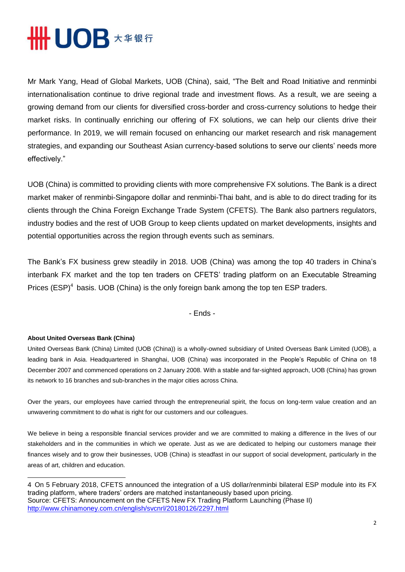## **HHUOB \*\*\*\***

Mr Mark Yang, Head of Global Markets, UOB (China), said, "The Belt and Road Initiative and renminbi internationalisation continue to drive regional trade and investment flows. As a result, we are seeing a growing demand from our clients for diversified cross-border and cross-currency solutions to hedge their market risks. In continually enriching our offering of FX solutions, we can help our clients drive their performance. In 2019, we will remain focused on enhancing our market research and risk management strategies, and expanding our Southeast Asian currency-based solutions to serve our clients' needs more effectively."

UOB (China) is committed to providing clients with more comprehensive FX solutions. The Bank is a direct market maker of renminbi-Singapore dollar and renminbi-Thai baht, and is able to do direct trading for its clients through the China Foreign Exchange Trade System (CFETS). The Bank also partners regulators, industry bodies and the rest of UOB Group to keep clients updated on market developments, insights and potential opportunities across the region through events such as seminars.

The Bank's FX business grew steadily in 2018. UOB (China) was among the top 40 traders in China's interbank FX market and the top ten traders on CFETS' trading platform on an Executable Streaming Prices (ESP)<sup>4</sup> basis. UOB (China) is the only foreign bank among the top ten ESP traders.

- Ends -

#### **About United Overseas Bank (China)**

United Overseas Bank (China) Limited (UOB (China)) is a wholly-owned subsidiary of United Overseas Bank Limited (UOB), a leading bank in Asia. Headquartered in Shanghai, UOB (China) was incorporated in the People's Republic of China on 18 December 2007 and commenced operations on 2 January 2008. With a stable and far-sighted approach, UOB (China) has grown its network to 16 branches and sub-branches in the major cities across China.

Over the years, our employees have carried through the entrepreneurial spirit, the focus on long-term value creation and an unwavering commitment to do what is right for our customers and our colleagues.

We believe in being a responsible financial services provider and we are committed to making a difference in the lives of our stakeholders and in the communities in which we operate. Just as we are dedicated to helping our customers manage their finances wisely and to grow their businesses, UOB (China) is steadfast in our support of social development, particularly in the areas of art, children and education.

<sup>4</sup> On 5 February 2018, CFETS announced the integration of a US dollar/renminbi bilateral ESP module into its FX trading platform, where traders' orders are matched instantaneously based upon pricing. Source: CFETS: Announcement on the CFETS New FX Trading Platform Launching (Phase II) <http://www.chinamoney.com.cn/english/svcnrl/20180126/2297.html>